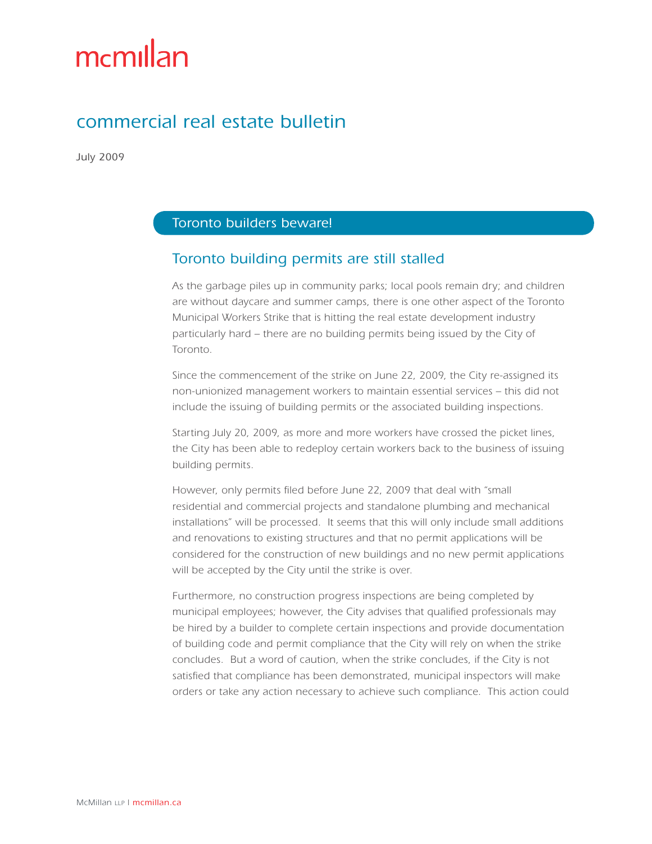# mcmillan

## commercial real estate bulletin

July 2009

#### Toronto builders beware!

### Toronto building permits are still stalled

As the garbage piles up in community parks; local pools remain dry; and children are without daycare and summer camps, there is one other aspect of the Toronto Municipal Workers Strike that is hitting the real estate development industry particularly hard – there are no building permits being issued by the City of Toronto.

Since the commencement of the strike on June 22, 2009, the City re-assigned its non-unionized management workers to maintain essential services – this did not include the issuing of building permits or the associated building inspections.

Starting July 20, 2009, as more and more workers have crossed the picket lines, the City has been able to redeploy certain workers back to the business of issuing building permits.

However, only permits filed before June 22, 2009 that deal with "small residential and commercial projects and standalone plumbing and mechanical installations" will be processed. It seems that this will only include small additions and renovations to existing structures and that no permit applications will be considered for the construction of new buildings and no new permit applications will be accepted by the City until the strike is over.

Furthermore, no construction progress inspections are being completed by municipal employees; however, the City advises that qualified professionals may be hired by a builder to complete certain inspections and provide documentation of building code and permit compliance that the City will rely on when the strike concludes. But a word of caution, when the strike concludes, if the City is not satisfied that compliance has been demonstrated, municipal inspectors will make orders or take any action necessary to achieve such compliance. This action could